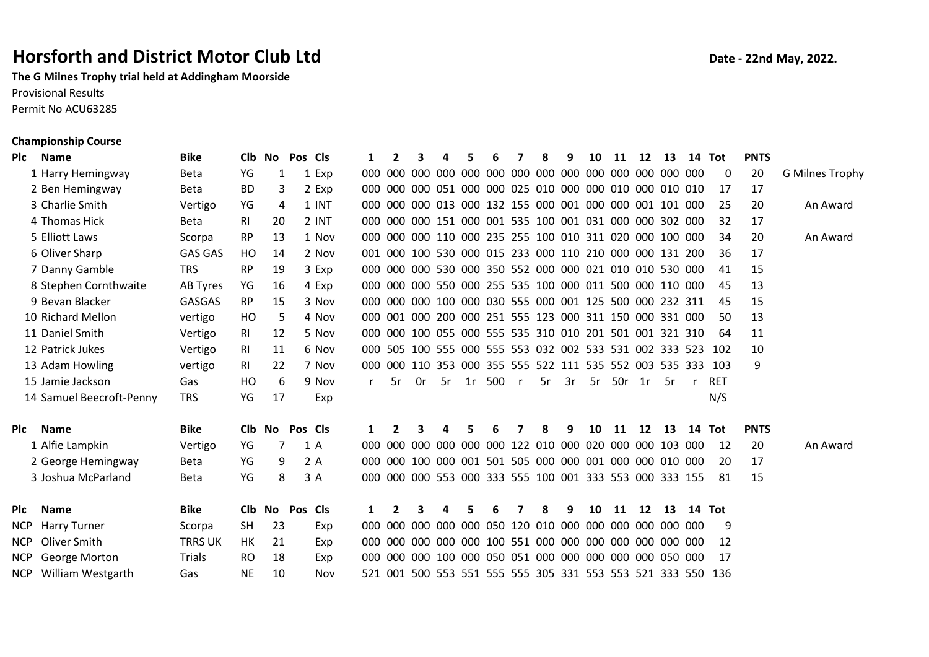## Horsforth and District Motor Club Ltd Date - 22nd May, 2022.

The G Milnes Trophy trial held at Addingham Moorside Provisional Results Permit No ACU63285

## Championship Course

| Plc | <b>Name</b>              | <b>Bike</b>     | <b>Clb</b> | No     | Pos Cls    |       | $\mathbf{1}$ | 2              | 3  | 4                                                           |    |     |              | 8  | q  | 10 | 11     | 12 | 13   | 14 Tot |            | <b>PNTS</b> |                        |
|-----|--------------------------|-----------------|------------|--------|------------|-------|--------------|----------------|----|-------------------------------------------------------------|----|-----|--------------|----|----|----|--------|----|------|--------|------------|-------------|------------------------|
|     | 1 Harry Hemingway        | <b>Beta</b>     | YG         | 1      |            | 1 Exp | 000          |                |    | ,000,000,000,000,000,000,000,000,000,000,000,000,000,000    |    |     |              |    |    |    |        |    |      |        | 0          | 20          | <b>G Milnes Trophy</b> |
|     | 2 Ben Hemingway          | <b>Beta</b>     | <b>BD</b>  | 3      |            | 2 Exp |              |                |    | 000 000 000 051 000 000 025 010 000 000 010 000 010 010     |    |     |              |    |    |    |        |    |      |        | 17         | 17          |                        |
|     | 3 Charlie Smith          | Vertigo         | YG         | 4      |            | 1 INT |              |                |    | 000 000 000 013 000 132 155 000 001 000 000 001 101 000     |    |     |              |    |    |    |        |    |      |        | 25         | 20          | An Award               |
|     | 4 Thomas Hick            | <b>Beta</b>     | RI         | 20     |            | 2 INT | 000          |                |    | 000 000 151 000 001 535 100 001 031 000 000 302 000         |    |     |              |    |    |    |        |    |      |        | 32         | 17          |                        |
|     | 5 Elliott Laws           | Scorpa          | <b>RP</b>  | 13     |            | 1 Nov | 000          |                |    | 000 000 110 000 235 255 100 010 311 020 000 100 000         |    |     |              |    |    |    |        |    |      |        | 34         | 20          | An Award               |
|     | 6 Oliver Sharp           | <b>GAS GAS</b>  | HO         | 14     |            | 2 Nov |              |                |    | 001 000 100 530 000 015 233 000 110 210 000 000 131 200     |    |     |              |    |    |    |        |    |      |        | 36         | 17          |                        |
|     | 7 Danny Gamble           | <b>TRS</b>      | <b>RP</b>  | 19     |            | 3 Exp |              |                |    | 000 000 000 530 000 350 552 000 000 021 010 010 530 000     |    |     |              |    |    |    |        |    |      |        | 41         | 15          |                        |
|     | 8 Stephen Cornthwaite    | <b>AB Tyres</b> | YG         | 16     |            | 4 Exp |              |                |    | 000 000 000 550 000 255 535 100 000 011 500 000 110 000     |    |     |              |    |    |    |        |    |      |        | 45         | 13          |                        |
|     | 9 Bevan Blacker          | <b>GASGAS</b>   | <b>RP</b>  | 15     |            | 3 Nov | 000          |                |    | 000 000 100 000 030 555 000 001 125 500 000 232 311         |    |     |              |    |    |    |        |    |      |        | 45         | 15          |                        |
|     | 10 Richard Mellon        | vertigo         | HO         | 5      |            | 4 Nov |              |                |    | 000 001 000 200 000 251 555 123 000 311 150 000 331 000     |    |     |              |    |    |    |        |    |      |        | 50         | 13          |                        |
|     | 11 Daniel Smith          | Vertigo         | RI.        | 12     |            | 5 Nov |              |                |    | 000 000 100 055 000 555 535 310 010 201 501 001 321 310     |    |     |              |    |    |    |        |    |      |        | 64         | 11          |                        |
|     | 12 Patrick Jukes         | Vertigo         | RI         | 11     |            | 6 Nov |              |                |    | 000 505 100 555 000 555 553 032 002 533 531 002 333 523     |    |     |              |    |    |    |        |    |      |        | 102        | 10          |                        |
|     | 13 Adam Howling          | vertigo         | RI         | 22     |            | 7 Nov |              |                |    | 000 000 110 353 000 355 555 522 111 535 552 003 535 333 103 |    |     |              |    |    |    |        |    |      |        |            | 9           |                        |
|     | 15 Jamie Jackson         | Gas             | HO         | 6      |            | 9 Nov |              | .5r            | 0r | .5r                                                         | 1r | 500 | $\mathsf{r}$ | 5r | 3r | 5r | 50r 1r |    | - 5r |        | <b>RET</b> |             |                        |
|     | 14 Samuel Beecroft-Penny | TRS             | YG         | 17     |            | Exp   |              |                |    |                                                             |    |     |              |    |    |    |        |    |      |        | N/S        |             |                        |
| Plc | <b>Name</b>              | <b>Bike</b>     |            | Clb No | Pos Cls    |       | 1            |                |    | 4                                                           | 5  | 6   | 7            | 8  | 9  | 10 | 11     | 12 | 13   | 14 Tot |            | <b>PNTS</b> |                        |
|     | 1 Alfie Lampkin          | Vertigo         | YG         | 7      | 1 A        |       | 000          |                |    |                                                             |    |     |              |    |    |    |        |    |      |        | 12         | 20          | An Award               |
|     | 2 George Hemingway       | Beta            | YG         | 9      | 2 A        |       | 000          |                |    |                                                             |    |     |              |    |    |    |        |    |      |        | -20        | 17          |                        |
|     | 3 Joshua McParland       | <b>Beta</b>     | YG         | 8      |            | 3 A   |              |                |    | 000 000 000 553 000 333 555 100 001 333 553 000 333 155     |    |     |              |    |    |    |        |    |      |        | 81         | 15          |                        |
| Plc | <b>Name</b>              | <b>Bike</b>     | Clb        |        | No Pos Cls |       | 1            | $\overline{2}$ | 3  | 4                                                           | 5  | 6   | 7            | 8  | 9  | 10 | 11     | 12 | 13   |        | 14 Tot     |             |                        |
| NCP | <b>Harry Turner</b>      | Scorpa          | <b>SH</b>  | 23     |            | Exp   | 000          |                |    | 000 000 000 000 050 120 010 000 000 000 000 000 000         |    |     |              |    |    |    |        |    |      |        | 9          |             |                        |
| NCP | Oliver Smith             | <b>TRRS UK</b>  | HK         | 21     |            | Exp   | 000          |                |    |                                                             |    |     |              |    |    |    |        |    |      |        | 12         |             |                        |
| NCP | George Morton            | <b>Trials</b>   | <b>RO</b>  | 18     |            | Exp   | 000.         |                |    |                                                             |    |     |              |    |    |    |        |    |      |        | 17         |             |                        |
| NCP | William Westgarth        | Gas             | <b>NE</b>  | 10     |            | Nov   | 521          |                |    | 001 500 553 551 555 555 305 331 553 553 521 333 550         |    |     |              |    |    |    |        |    |      |        | 136        |             |                        |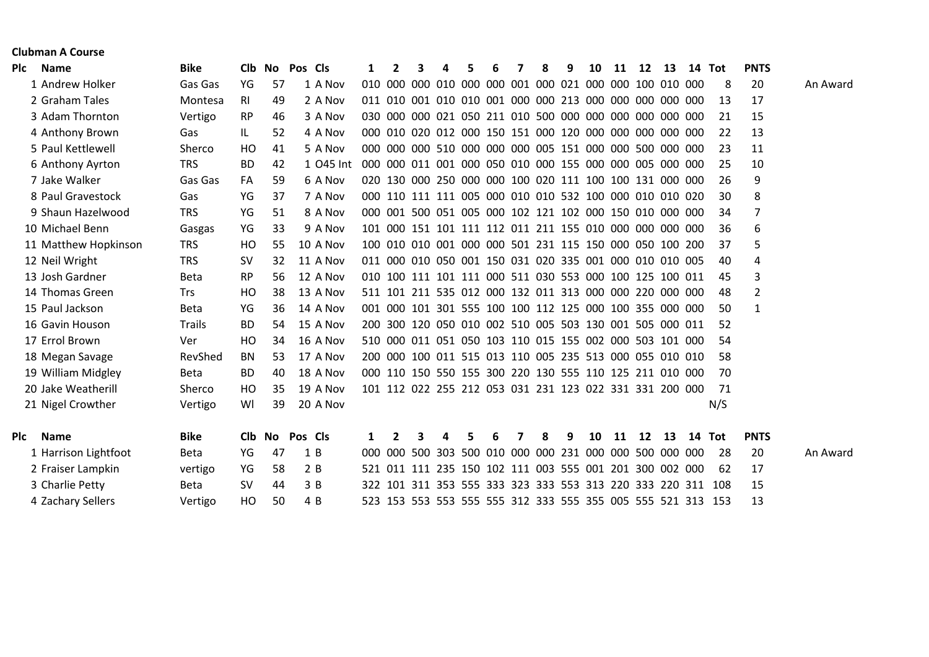|     | <b>Clubman A Course</b> |               |           |            |                |           |     |     |  |   |  |                                                             |   |    |    |    |    |                                                             |                |          |
|-----|-------------------------|---------------|-----------|------------|----------------|-----------|-----|-----|--|---|--|-------------------------------------------------------------|---|----|----|----|----|-------------------------------------------------------------|----------------|----------|
| Plc | <b>Name</b>             | <b>Bike</b>   | Clb.      | No Pos Cls |                |           | 1   | 2   |  | 5 |  | 8                                                           | 9 | 10 | 11 | 12 | 13 | 14 Tot                                                      | <b>PNTS</b>    |          |
|     | 1 Andrew Holker         | Gas Gas       | YG        | 57         |                | 1 A Nov   |     |     |  |   |  |                                                             |   |    |    |    |    | 8                                                           | 20             | An Award |
|     | 2 Graham Tales          | Montesa       | RI        | 49         |                | 2 A Nov   |     |     |  |   |  | 011 010 001 010 010 001 000 000 213 000 000 000 000 000     |   |    |    |    |    | 13                                                          | 17             |          |
|     | 3 Adam Thornton         | Vertigo       | <b>RP</b> | 46         |                | 3 A Nov   |     |     |  |   |  | 030 000 000 021 050 211 010 500 000 000 000 000 000 000     |   |    |    |    |    | 21                                                          | 15             |          |
|     | 4 Anthony Brown         | Gas           | IL.       | 52         |                | 4 A Nov   |     |     |  |   |  | 000 010 020 012 000 150 151 000 120 000 000 000 000 000     |   |    |    |    |    | 22                                                          | 13             |          |
|     | 5 Paul Kettlewell       | Sherco        | HO        | 41         |                | 5 A Nov   |     |     |  |   |  |                                                             |   |    |    |    |    | 23                                                          | 11             |          |
|     | 6 Anthony Ayrton        | <b>TRS</b>    | <b>BD</b> | 42         |                | 1 045 Int |     |     |  |   |  |                                                             |   |    |    |    |    | 25                                                          | 10             |          |
|     | 7 Jake Walker           | Gas Gas       | FA        | 59         |                | 6 A Nov   |     |     |  |   |  | 020 130 000 250 000 000 100 020 111 100 100 131 000 000     |   |    |    |    |    | 26                                                          | 9              |          |
|     | 8 Paul Gravestock       | Gas           | YG        | 37         |                | 7 A Nov   |     |     |  |   |  | 000 110 111 111 005 000 010 010 532 100 000 010 010 020     |   |    |    |    |    | 30                                                          | 8              |          |
|     | 9 Shaun Hazelwood       | <b>TRS</b>    | YG        | 51         |                | 8 A Nov   |     |     |  |   |  | 000 001 500 051 005 000 102 121 102 000 150 010 000 000     |   |    |    |    |    | 34                                                          | $\overline{7}$ |          |
|     | 10 Michael Benn         | Gasgas        | YG        | 33         |                | 9 A Nov   |     |     |  |   |  | 101 000 151 101 111 112 011 211 155 010 000 000 000 000     |   |    |    |    |    | 36                                                          | 6              |          |
|     | 11 Matthew Hopkinson    | <b>TRS</b>    | HO        | 55         |                | 10 A Nov  |     |     |  |   |  | 100 010 010 001 000 000 501 231 115 150 000 050 100 200     |   |    |    |    |    | 37                                                          | 5              |          |
|     | 12 Neil Wright          | <b>TRS</b>    | <b>SV</b> | 32         |                | 11 A Nov  |     |     |  |   |  | 011 000 010 050 001 150 031 020 335 001 000 010 010 005     |   |    |    |    |    | 40                                                          | 4              |          |
|     | 13 Josh Gardner         | <b>Beta</b>   | <b>RP</b> | 56         |                | 12 A Nov  |     |     |  |   |  | 010 100 111 101 111 000 511 030 553 000 100 125 100 011     |   |    |    |    |    | 45                                                          | 3              |          |
|     | 14 Thomas Green         | <b>Trs</b>    | HO        | 38         |                | 13 A Nov  |     |     |  |   |  | 511 101 211 535 012 000 132 011 313 000 000 220 000 000     |   |    |    |    |    | 48                                                          | $\overline{2}$ |          |
|     | 15 Paul Jackson         | <b>Beta</b>   | YG        | 36         |                | 14 A Nov  |     |     |  |   |  | 001 000 101 301 555 100 100 112 125 000 100 355 000 000     |   |    |    |    |    | 50                                                          | 1              |          |
|     | 16 Gavin Houson         | <b>Trails</b> | <b>BD</b> | 54         |                | 15 A Nov  |     |     |  |   |  | 200 300 120 050 010 002 510 005 503 130 001 505 000 011     |   |    |    |    |    | 52                                                          |                |          |
|     | 17 Errol Brown          | Ver           | HO        | 34         |                | 16 A Nov  |     |     |  |   |  | 510 000 011 051 050 103 110 015 155 002 000 503 101 000     |   |    |    |    |    | 54                                                          |                |          |
|     | 18 Megan Savage         | RevShed       | <b>BN</b> | 53         |                | 17 A Nov  |     |     |  |   |  | 200 000 100 011 515 013 110 005 235 513 000 055 010 010     |   |    |    |    |    | 58                                                          |                |          |
|     | 19 William Midgley      | <b>Beta</b>   | <b>BD</b> | 40         |                | 18 A Nov  |     |     |  |   |  | 000 110 150 550 155 300 220 130 555 110 125 211 010 000     |   |    |    |    |    | 70                                                          |                |          |
|     | 20 Jake Weatherill      | Sherco        | HO        | 35         |                | 19 A Nov  |     |     |  |   |  | 101 112 022 255 212 053 031 231 123 022 331 331 200 000     |   |    |    |    |    | 71                                                          |                |          |
|     | 21 Nigel Crowther       | Vertigo       | WI        | 39         |                | 20 A Nov  |     |     |  |   |  |                                                             |   |    |    |    |    | N/S                                                         |                |          |
| Plc | <b>Name</b>             | <b>Bike</b>   | Clb.      | No.        | <b>Pos Cls</b> |           | 1   | 2   |  |   |  | Զ                                                           | 9 | 10 | 11 | 12 | 13 | 14 Tot                                                      | <b>PNTS</b>    |          |
|     | 1 Harrison Lightfoot    | <b>Beta</b>   | YG        | 47         |                | 1B        | 000 | 000 |  |   |  | 500 303 500 010 000 000 231 000 000 500 000 000             |   |    |    |    |    | 28                                                          | 20             | An Award |
|     | 2 Fraiser Lampkin       | vertigo       | YG        | 58         |                | 2B        |     |     |  |   |  | 521 011 111 235 150 102 111 003 555 001 201 300 002 000     |   |    |    |    |    | 62                                                          | 17             |          |
|     | 3 Charlie Petty         | <b>Beta</b>   | <b>SV</b> | 44         |                | 3B        |     |     |  |   |  |                                                             |   |    |    |    |    | 322 101 311 353 555 333 323 333 553 313 220 333 220 311 108 | 15             |          |
|     | 4 Zachary Sellers       | Vertigo       | HO        | 50         |                | 4 B       |     |     |  |   |  | 523 153 553 553 555 555 312 333 555 355 005 555 521 313 153 |   |    |    |    |    |                                                             | 13             |          |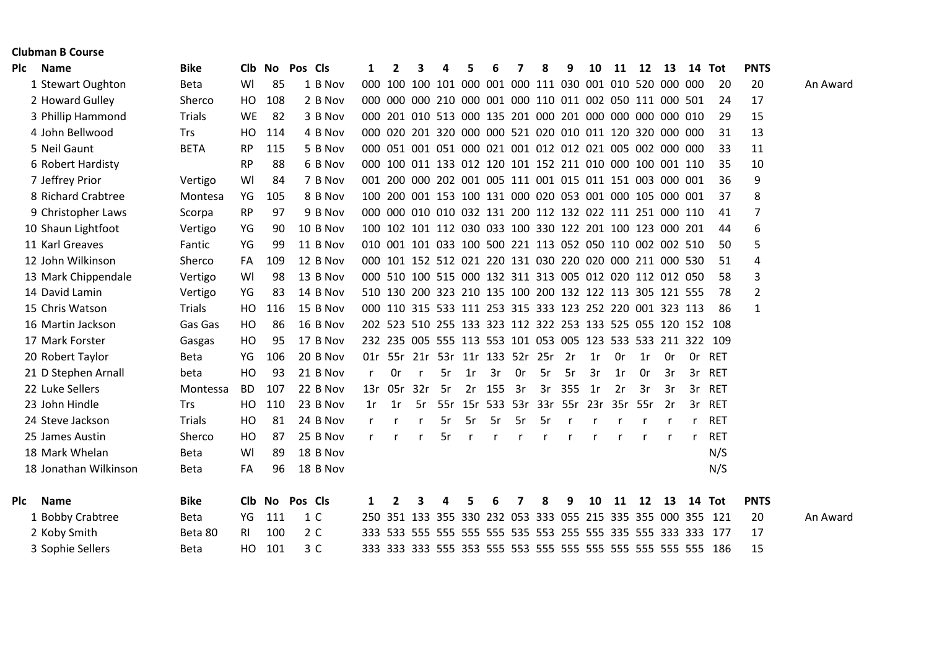|            | <b>Clubman B Course</b> |               |           |                |                |    |                |     |    |     |        |    |                                                         |     |    |    |         |     |              |                                                             |                |          |
|------------|-------------------------|---------------|-----------|----------------|----------------|----|----------------|-----|----|-----|--------|----|---------------------------------------------------------|-----|----|----|---------|-----|--------------|-------------------------------------------------------------|----------------|----------|
|            | Plc Name                | <b>Bike</b>   |           | Clb No Pos Cls |                | 1  | $\overline{2}$ |     | Δ  |     | 6      |    | 8                                                       | 9   | 10 | 11 | 12      | 13  |              | 14 Tot                                                      | <b>PNTS</b>    |          |
|            | 1 Stewart Oughton       | <b>Beta</b>   | WI        | 85             | 1 B Nov        |    |                |     |    |     |        |    | 000 100 100 101 000 001 000 111 030 001 010 520 000 000 |     |    |    |         |     |              | 20                                                          | 20             | An Award |
|            | 2 Howard Gulley         | Sherco        | HO.       | 108            | 2 B Nov        |    |                |     |    |     |        |    | 000 000 000 210 000 001 000 110 011 002 050 111 000 501 |     |    |    |         |     |              | 24                                                          | 17             |          |
|            | 3 Phillip Hammond       | <b>Trials</b> | WE        | 82             | 3 B Nov        |    |                |     |    |     |        |    | 000 201 010 513 000 135 201 000 201 000 000 000 000 010 |     |    |    |         |     |              | 29                                                          | 15             |          |
|            | 4 John Bellwood         | <b>Trs</b>    | HO.       | 114            | 4 B Nov        |    |                |     |    |     |        |    | 000 020 201 320 000 000 521 020 010 011 120 320 000 000 |     |    |    |         |     |              | 31                                                          | 13             |          |
|            | 5 Neil Gaunt            | <b>BETA</b>   | <b>RP</b> | 115            | 5 B Nov        |    |                |     |    |     |        |    | 000 051 001 051 000 021 001 012 012 021 005 002 000 000 |     |    |    |         |     |              | 33                                                          | 11             |          |
|            | 6 Robert Hardisty       |               | <b>RP</b> | 88             | 6 B Nov        |    |                |     |    |     |        |    | 000 100 011 133 012 120 101 152 211 010 000 100 001 110 |     |    |    |         |     |              | 35                                                          | 10             |          |
|            | 7 Jeffrey Prior         | Vertigo       | WI        | 84             | 7 B Nov        |    |                |     |    |     |        |    | 001 200 000 202 001 005 111 001 015 011 151 003 000 001 |     |    |    |         |     |              | 36                                                          | 9              |          |
|            | 8 Richard Crabtree      | Montesa       | YG        | 105            | 8 B Nov        |    |                |     |    |     |        |    | 100 200 001 153 100 131 000 020 053 001 000 105 000 001 |     |    |    |         |     |              | 37                                                          | 8              |          |
|            | 9 Christopher Laws      | Scorpa        | <b>RP</b> | 97             | 9 B Nov        |    |                |     |    |     |        |    | 000 000 010 010 032 131 200 112 132 022 111 251 000 110 |     |    |    |         |     |              | 41                                                          | $\overline{7}$ |          |
|            | 10 Shaun Lightfoot      | Vertigo       | YG        | 90             | 10 B Nov       |    |                |     |    |     |        |    | 100 102 101 112 030 033 100 330 122 201 100 123 000 201 |     |    |    |         |     |              | 44                                                          | 6              |          |
|            | 11 Karl Greaves         | Fantic        | YG        | 99             | 11 B Nov       |    |                |     |    |     |        |    | 010 001 101 033 100 500 221 113 052 050 110 002 002 510 |     |    |    |         |     |              | 50                                                          | 5              |          |
|            | 12 John Wilkinson       | Sherco        | FA        | 109            | 12 B Nov       |    |                |     |    |     |        |    | 000 101 152 512 021 220 131 030 220 020 000 211 000 530 |     |    |    |         |     |              | 51                                                          | 4              |          |
|            | 13 Mark Chippendale     | Vertigo       | WI        | 98             | 13 B Nov       |    |                |     |    |     |        |    | 000 510 100 515 000 132 311 313 005 012 020 112 012 050 |     |    |    |         |     |              | 58                                                          | 3              |          |
|            | 14 David Lamin          | Vertigo       | YG        | 83             | 14 B Nov       |    |                |     |    |     |        |    | 510 130 200 323 210 135 100 200 132 122 113 305 121 555 |     |    |    |         |     |              | 78                                                          | $\overline{2}$ |          |
|            | 15 Chris Watson         | <b>Trials</b> | HO        | 116            | 15 B Nov       |    |                |     |    |     |        |    | 000 110 315 533 111 253 315 333 123 252 220 001 323 113 |     |    |    |         |     |              | 86                                                          | 1              |          |
|            | 16 Martin Jackson       | Gas Gas       | HO        | 86             | 16 B Nov       |    |                |     |    |     |        |    | 202 523 510 255 133 323 112 322 253 133 525 055 120 152 |     |    |    |         |     |              | 108                                                         |                |          |
|            | 17 Mark Forster         | Gasgas        | HO        | 95             | 17 B Nov       |    |                |     |    |     |        |    |                                                         |     |    |    |         |     |              | 232 235 005 555 113 553 101 053 005 123 533 533 211 322 109 |                |          |
|            | 20 Robert Taylor        | <b>Beta</b>   | YG        | 106            | 20 B Nov       |    |                |     |    |     |        |    | 01r 55r 21r 53r 11r 133 52r 25r 2r                      |     | 1r | 0r | 1r      | 0r  |              | Or RET                                                      |                |          |
|            | 21 D Stephen Arnall     | beta          | HO        | 93             | 21 B Nov       | r  | 0r             | r   | 5r | 1r  | 3r     | 0r | 5r                                                      | 5r  | 3r | 1r | 0r      | 3r  |              | 3r RET                                                      |                |          |
|            | 22 Luke Sellers         | Montessa      | <b>BD</b> | 107            | 22 B Nov       |    | 13r 05r        | 32r | 5r | 2r  | 155 3r |    | 3r                                                      | 355 | 1r | 2r | 3r      | 3r  |              | 3r RET                                                      |                |          |
|            | 23 John Hindle          | <b>Trs</b>    | HO        | 110            | 23 B Nov       | 1r | -1r            | 5r. |    |     |        |    | 55r 15r 533 53r 33r 55r 23r                             |     |    |    | 35r 55r | -2r |              | 3r RET                                                      |                |          |
|            | 24 Steve Jackson        | <b>Trials</b> | HO        | -81            | 24 B Nov       |    |                |     | 5r | -5r | 5r     | 5r | 5r                                                      |     |    |    |         |     | $\mathsf{r}$ | RET                                                         |                |          |
|            | 25 James Austin         | Sherco        | HO        | 87             | 25 B Nov       | r. |                | r   | 5r | r.  | r      | r  |                                                         |     |    | r  |         |     | r            | <b>RET</b>                                                  |                |          |
|            | 18 Mark Whelan          | <b>Beta</b>   | WI        | 89             | 18 B Nov       |    |                |     |    |     |        |    |                                                         |     |    |    |         |     |              | N/S                                                         |                |          |
|            | 18 Jonathan Wilkinson   | <b>Beta</b>   | FA        | 96             | 18 B Nov       |    |                |     |    |     |        |    |                                                         |     |    |    |         |     |              | N/S                                                         |                |          |
| <b>PIC</b> | <b>Name</b>             | <b>Bike</b>   |           | Clb No         | Pos Cls        | 1  | 2              | 3   | Δ  | 5   | 6      | 7  | 8                                                       | 9   | 10 | 11 | 12      | 13  | 14           | Tot                                                         | <b>PNTS</b>    |          |
|            | 1 Bobby Crabtree        | <b>Beta</b>   | YG        | 111            | 1 C            |    |                |     |    |     |        |    |                                                         |     |    |    |         |     |              | 250 351 133 355 330 232 053 333 055 215 335 355 000 355 121 | 20             | An Award |
|            | 2 Koby Smith            | Beta 80       | <b>RI</b> | 100            | 2 C            |    |                |     |    |     |        |    |                                                         |     |    |    |         |     |              |                                                             | 17             |          |
|            | 3 Sophie Sellers        | Beta          | HO.       | 101            | 3 <sup>C</sup> |    |                |     |    |     |        |    |                                                         |     |    |    |         |     |              |                                                             | 15             |          |